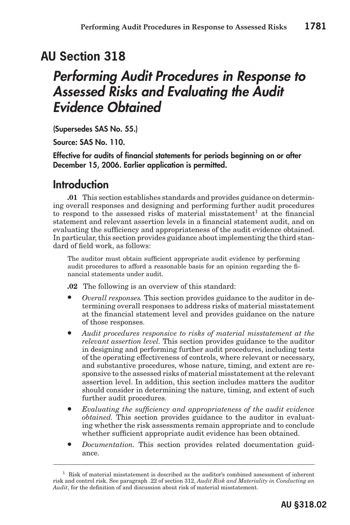# **AU Section 318**

# *Performing Audit Procedures in Response to Assessed Risks and Evaluating the Audit Evidence Obtained*

(Supersedes SAS No. 55.)

Source: SAS No. 110.

Effective for audits of financial statements for periods beginning on or after December 15, 2006. Earlier application is permitted.

## Introduction

**.01** This section establishes standards and provides guidance on determining overall responses and designing and performing further audit procedures to respond to the assessed risks of material misstatement<sup>1</sup> at the financial statement and relevant assertion levels in a financial statement audit, and on evaluating the sufficiency and appropriateness of the audit evidence obtained. In particular, this section provides guidance about implementing the third standard of field work, as follows:

The auditor must obtain sufficient appropriate audit evidence by performing audit procedures to afford a reasonable basis for an opinion regarding the financial statements under audit.

**.02** The following is an overview of this standard:

- *Overall responses.* This section provides guidance to the auditor in determining overall responses to address risks of material misstatement at the financial statement level and provides guidance on the nature of those responses.
- *Audit procedures responsive to risks of material misstatement at the relevant assertion level.* This section provides guidance to the auditor in designing and performing further audit procedures, including tests of the operating effectiveness of controls, where relevant or necessary, and substantive procedures, whose nature, timing, and extent are responsive to the assessed risks of material misstatement at the relevant assertion level. In addition, this section includes matters the auditor should consider in determining the nature, timing, and extent of such further audit procedures.
- *Evaluating the sufficiency and appropriateness of the audit evidence obtained.* This section provides guidance to the auditor in evaluating whether the risk assessments remain appropriate and to conclude whether sufficient appropriate audit evidence has been obtained.
- *Documentation.* This section provides related documentation guidance.

 $<sup>1</sup>$  Risk of material misstatement is described as the auditor's combined assessment of inherent</sup> risk and control risk. See paragraph .22 of section 312, *Audit Risk and Materiality in Conducting an Audit*, for the definition of and discussion about risk of material misstatement.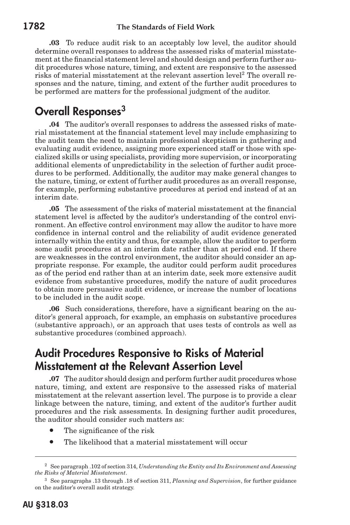**.03** To reduce audit risk to an acceptably low level, the auditor should determine overall responses to address the assessed risks of material misstatement at the financial statement level and should design and perform further audit procedures whose nature, timing, and extent are responsive to the assessed risks of material misstatement at the relevant assertion level<sup>2</sup> The overall responses and the nature, timing, and extent of the further audit procedures to be performed are matters for the professional judgment of the auditor.

# Overall Responses<sup>3</sup>

**.04** The auditor's overall responses to address the assessed risks of material misstatement at the financial statement level may include emphasizing to the audit team the need to maintain professional skepticism in gathering and evaluating audit evidence, assigning more experienced staff or those with specialized skills or using specialists, providing more supervision, or incorporating additional elements of unpredictability in the selection of further audit procedures to be performed. Additionally, the auditor may make general changes to the nature, timing, or extent of further audit procedures as an overall response, for example, performing substantive procedures at period end instead of at an interim date.

**.05** The assessment of the risks of material misstatement at the financial statement level is affected by the auditor's understanding of the control environment. An effective control environment may allow the auditor to have more confidence in internal control and the reliability of audit evidence generated internally within the entity and thus, for example, allow the auditor to perform some audit procedures at an interim date rather than at period end. If there are weaknesses in the control environment, the auditor should consider an appropriate response. For example, the auditor could perform audit procedures as of the period end rather than at an interim date, seek more extensive audit evidence from substantive procedures, modify the nature of audit procedures to obtain more persuasive audit evidence, or increase the number of locations to be included in the audit scope.

**.06** Such considerations, therefore, have a significant bearing on the auditor's general approach, for example, an emphasis on substantive procedures (substantive approach), or an approach that uses tests of controls as well as substantive procedures (combined approach).

## Audit Procedures Responsive to Risks of Material Misstatement at the Relevant Assertion Level

**.07** The auditor should design and perform further audit procedures whose nature, timing, and extent are responsive to the assessed risks of material misstatement at the relevant assertion level. The purpose is to provide a clear linkage between the nature, timing, and extent of the auditor's further audit procedures and the risk assessments. In designing further audit procedures, the auditor should consider such matters as:

- The significance of the risk
- The likelihood that a material misstatement will occur

<sup>2</sup> See paragraph .102 of section 314, *Understanding the Entity and Its Environment and Assessing the Risks of Material Misstatement*.

<sup>3</sup> See paragraphs .13 through .18 of section 311, *Planning and Supervision*, for further guidance on the auditor's overall audit strategy.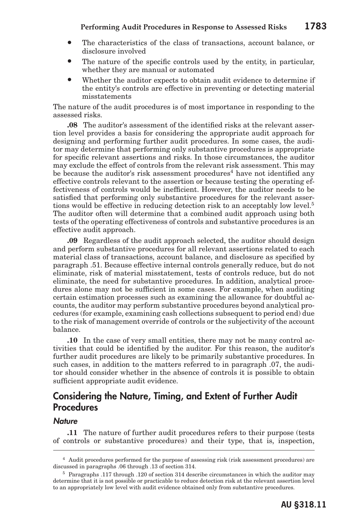- The characteristics of the class of transactions, account balance, or disclosure involved
- The nature of the specific controls used by the entity, in particular, whether they are manual or automated
- Whether the auditor expects to obtain audit evidence to determine if the entity's controls are effective in preventing or detecting material misstatements

The nature of the audit procedures is of most importance in responding to the assessed risks.

**.08** The auditor's assessment of the identified risks at the relevant assertion level provides a basis for considering the appropriate audit approach for designing and performing further audit procedures. In some cases, the auditor may determine that performing only substantive procedures is appropriate for specific relevant assertions and risks. In those circumstances, the auditor may exclude the effect of controls from the relevant risk assessment. This may be because the auditor's risk assessment procedures<sup>4</sup> have not identified any effective controls relevant to the assertion or because testing the operating effectiveness of controls would be inefficient. However, the auditor needs to be satisfied that performing only substantive procedures for the relevant assertions would be effective in reducing detection risk to an acceptably low level.<sup>5</sup> The auditor often will determine that a combined audit approach using both tests of the operating effectiveness of controls and substantive procedures is an effective audit approach.

**.09** Regardless of the audit approach selected, the auditor should design and perform substantive procedures for all relevant assertions related to each material class of transactions, account balance, and disclosure as specified by paragraph .51. Because effective internal controls generally reduce, but do not eliminate, risk of material misstatement, tests of controls reduce, but do not eliminate, the need for substantive procedures. In addition, analytical procedures alone may not be sufficient in some cases. For example, when auditing certain estimation processes such as examining the allowance for doubtful accounts, the auditor may perform substantive procedures beyond analytical procedures (for example, examining cash collections subsequent to period end) due to the risk of management override of controls or the subjectivity of the account balance.

**.10** In the case of very small entities, there may not be many control activities that could be identified by the auditor. For this reason, the auditor's further audit procedures are likely to be primarily substantive procedures. In such cases, in addition to the matters referred to in paragraph .07, the auditor should consider whether in the absence of controls it is possible to obtain sufficient appropriate audit evidence.

### Considering the Nature, Timing, and Extent of Further Audit **Procedures**

#### *Nature*

**.11** The nature of further audit procedures refers to their purpose (tests of controls or substantive procedures) and their type, that is, inspection,

<sup>4</sup> Audit procedures performed for the purpose of assessing risk (risk assessment procedures) are discussed in paragraphs .06 through .13 of section 314.

<sup>5</sup> Paragraphs .117 through .120 of section 314 describe circumstances in which the auditor may determine that it is not possible or practicable to reduce detection risk at the relevant assertion level to an appropriately low level with audit evidence obtained only from substantive procedures.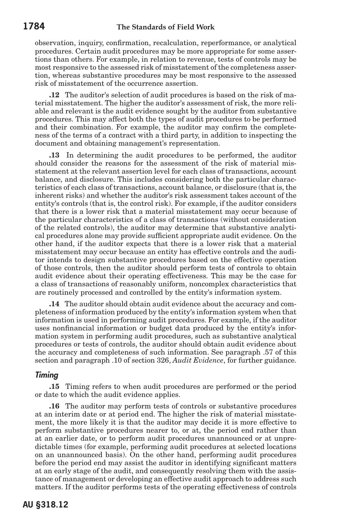observation, inquiry, confirmation, recalculation, reperformance, or analytical procedures. Certain audit procedures may be more appropriate for some assertions than others. For example, in relation to revenue, tests of controls may be most responsive to the assessed risk of misstatement of the completeness assertion, whereas substantive procedures may be most responsive to the assessed risk of misstatement of the occurrence assertion.

**.12** The auditor's selection of audit procedures is based on the risk of material misstatement. The higher the auditor's assessment of risk, the more reliable and relevant is the audit evidence sought by the auditor from substantive procedures. This may affect both the types of audit procedures to be performed and their combination. For example, the auditor may confirm the completeness of the terms of a contract with a third party, in addition to inspecting the document and obtaining management's representation.

**.13** In determining the audit procedures to be performed, the auditor should consider the reasons for the assessment of the risk of material misstatement at the relevant assertion level for each class of transactions, account balance, and disclosure. This includes considering both the particular characteristics of each class of transactions, account balance, or disclosure (that is, the inherent risks) and whether the auditor's risk assessment takes account of the entity's controls (that is, the control risk). For example, if the auditor considers that there is a lower risk that a material misstatement may occur because of the particular characteristics of a class of transactions (without consideration of the related controls), the auditor may determine that substantive analytical procedures alone may provide sufficient appropriate audit evidence. On the other hand, if the auditor expects that there is a lower risk that a material misstatement may occur because an entity has effective controls and the auditor intends to design substantive procedures based on the effective operation of those controls, then the auditor should perform tests of controls to obtain audit evidence about their operating effectiveness. This may be the case for a class of transactions of reasonably uniform, noncomplex characteristics that are routinely processed and controlled by the entity's information system.

**.14** The auditor should obtain audit evidence about the accuracy and completeness of information produced by the entity's information system when that information is used in performing audit procedures. For example, if the auditor uses nonfinancial information or budget data produced by the entity's information system in performing audit procedures, such as substantive analytical procedures or tests of controls, the auditor should obtain audit evidence about the accuracy and completeness of such information. See paragraph .57 of this section and paragraph .10 of section 326, *Audit Evidence*, for further guidance.

#### *Timing*

**.15** Timing refers to when audit procedures are performed or the period or date to which the audit evidence applies.

**.16** The auditor may perform tests of controls or substantive procedures at an interim date or at period end. The higher the risk of material misstatement, the more likely it is that the auditor may decide it is more effective to perform substantive procedures nearer to, or at, the period end rather than at an earlier date, or to perform audit procedures unannounced or at unpredictable times (for example, performing audit procedures at selected locations on an unannounced basis). On the other hand, performing audit procedures before the period end may assist the auditor in identifying significant matters at an early stage of the audit, and consequently resolving them with the assistance of management or developing an effective audit approach to address such matters. If the auditor performs tests of the operating effectiveness of controls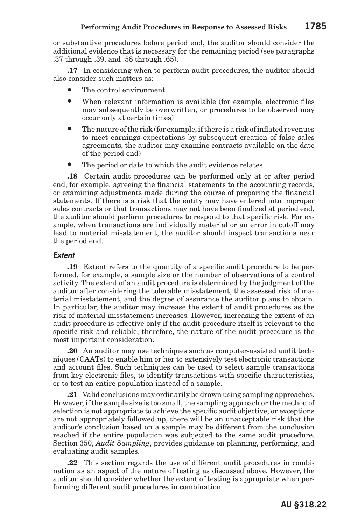or substantive procedures before period end, the auditor should consider the additional evidence that is necessary for the remaining period (see paragraphs .37 through .39, and .58 through .65).

**.17** In considering when to perform audit procedures, the auditor should also consider such matters as:

- The control environment
- When relevant information is available (for example, electronic files may subsequently be overwritten, or procedures to be observed may occur only at certain times)
- The nature of the risk (for example, if there is a risk of inflated revenues to meet earnings expectations by subsequent creation of false sales agreements, the auditor may examine contracts available on the date of the period end)
- The period or date to which the audit evidence relates

**.18** Certain audit procedures can be performed only at or after period end, for example, agreeing the financial statements to the accounting records, or examining adjustments made during the course of preparing the financial statements. If there is a risk that the entity may have entered into improper sales contracts or that transactions may not have been finalized at period end, the auditor should perform procedures to respond to that specific risk. For example, when transactions are individually material or an error in cutoff may lead to material misstatement, the auditor should inspect transactions near the period end.

#### *Extent*

**.19** Extent refers to the quantity of a specific audit procedure to be performed, for example, a sample size or the number of observations of a control activity. The extent of an audit procedure is determined by the judgment of the auditor after considering the tolerable misstatement, the assessed risk of material misstatement, and the degree of assurance the auditor plans to obtain. In particular, the auditor may increase the extent of audit procedures as the risk of material misstatement increases. However, increasing the extent of an audit procedure is effective only if the audit procedure itself is relevant to the specific risk and reliable; therefore, the nature of the audit procedure is the most important consideration.

**.20** An auditor may use techniques such as computer-assisted audit techniques (CAATs) to enable him or her to extensively test electronic transactions and account files. Such techniques can be used to select sample transactions from key electronic files, to identify transactions with specific characteristics, or to test an entire population instead of a sample.

**.21** Valid conclusions may ordinarily be drawn using sampling approaches. However, if the sample size is too small, the sampling approach or the method of selection is not appropriate to achieve the specific audit objective, or exceptions are not appropriately followed up, there will be an unacceptable risk that the auditor's conclusion based on a sample may be different from the conclusion reached if the entire population was subjected to the same audit procedure. Section 350, *Audit Sampling*, provides guidance on planning, performing, and evaluating audit samples.

**.22** This section regards the use of different audit procedures in combination as an aspect of the nature of testing as discussed above. However, the auditor should consider whether the extent of testing is appropriate when performing different audit procedures in combination.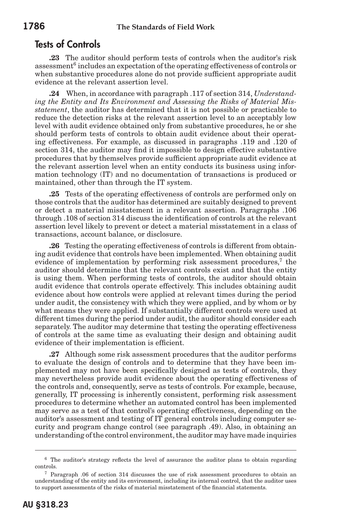### Tests of Controls

**.23** The auditor should perform tests of controls when the auditor's risk assessment<sup>6</sup> includes an expectation of the operating effectiveness of controls or when substantive procedures alone do not provide sufficient appropriate audit evidence at the relevant assertion level.

**.24** When, in accordance with paragraph .117 of section 314, *Understanding the Entity and Its Environment and Assessing the Risks of Material Misstatement*, the auditor has determined that it is not possible or practicable to reduce the detection risks at the relevant assertion level to an acceptably low level with audit evidence obtained only from substantive procedures, he or she should perform tests of controls to obtain audit evidence about their operating effectiveness. For example, as discussed in paragraphs .119 and .120 of section 314, the auditor may find it impossible to design effective substantive procedures that by themselves provide sufficient appropriate audit evidence at the relevant assertion level when an entity conducts its business using information technology (IT) and no documentation of transactions is produced or maintained, other than through the IT system.

**.25** Tests of the operating effectiveness of controls are performed only on those controls that the auditor has determined are suitably designed to prevent or detect a material misstatement in a relevant assertion. Paragraphs .106 through .108 of section 314 discuss the identification of controls at the relevant assertion level likely to prevent or detect a material misstatement in a class of transactions, account balance, or disclosure.

**.26** Testing the operating effectiveness of controls is different from obtaining audit evidence that controls have been implemented. When obtaining audit evidence of implementation by performing risk assessment procedures, $\frac{7}{1}$  the auditor should determine that the relevant controls exist and that the entity is using them. When performing tests of controls, the auditor should obtain audit evidence that controls operate effectively. This includes obtaining audit evidence about how controls were applied at relevant times during the period under audit, the consistency with which they were applied, and by whom or by what means they were applied. If substantially different controls were used at different times during the period under audit, the auditor should consider each separately. The auditor may determine that testing the operating effectiveness of controls at the same time as evaluating their design and obtaining audit evidence of their implementation is efficient.

**.27** Although some risk assessment procedures that the auditor performs to evaluate the design of controls and to determine that they have been implemented may not have been specifically designed as tests of controls, they may nevertheless provide audit evidence about the operating effectiveness of the controls and, consequently, serve as tests of controls. For example, because, generally, IT processing is inherently consistent, performing risk assessment procedures to determine whether an automated control has been implemented may serve as a test of that control's operating effectiveness, depending on the auditor's assessment and testing of IT general controls including computer security and program change control (see paragraph .49). Also, in obtaining an understanding of the control environment, the auditor may have made inquiries

<sup>6</sup> The auditor's strategy reflects the level of assurance the auditor plans to obtain regarding controls.

<sup>7</sup> Paragraph .06 of section 314 discusses the use of risk assessment procedures to obtain an understanding of the entity and its environment, including its internal control, that the auditor uses to support assessments of the risks of material misstatement of the financial statements.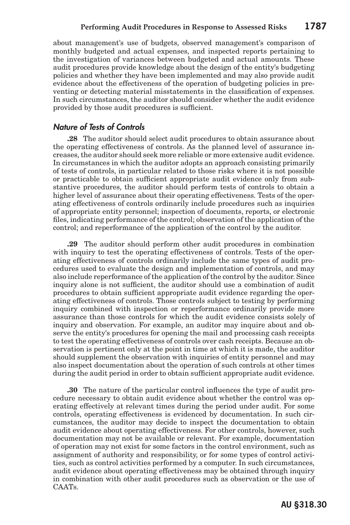about management's use of budgets, observed management's comparison of monthly budgeted and actual expenses, and inspected reports pertaining to the investigation of variances between budgeted and actual amounts. These audit procedures provide knowledge about the design of the entity's budgeting policies and whether they have been implemented and may also provide audit evidence about the effectiveness of the operation of budgeting policies in preventing or detecting material misstatements in the classification of expenses. In such circumstances, the auditor should consider whether the audit evidence provided by those audit procedures is sufficient.

#### *Nature of Tests of Controls*

**.28** The auditor should select audit procedures to obtain assurance about the operating effectiveness of controls. As the planned level of assurance increases, the auditor should seek more reliable or more extensive audit evidence. In circumstances in which the auditor adopts an approach consisting primarily of tests of controls, in particular related to those risks where it is not possible or practicable to obtain sufficient appropriate audit evidence only from substantive procedures, the auditor should perform tests of controls to obtain a higher level of assurance about their operating effectiveness. Tests of the operating effectiveness of controls ordinarily include procedures such as inquiries of appropriate entity personnel; inspection of documents, reports, or electronic files, indicating performance of the control; observation of the application of the control; and reperformance of the application of the control by the auditor.

**.29** The auditor should perform other audit procedures in combination with inquiry to test the operating effectiveness of controls. Tests of the operating effectiveness of controls ordinarily include the same types of audit procedures used to evaluate the design and implementation of controls, and may also include reperformance of the application of the control by the auditor. Since inquiry alone is not sufficient, the auditor should use a combination of audit procedures to obtain sufficient appropriate audit evidence regarding the operating effectiveness of controls. Those controls subject to testing by performing inquiry combined with inspection or reperformance ordinarily provide more assurance than those controls for which the audit evidence consists solely of inquiry and observation. For example, an auditor may inquire about and observe the entity's procedures for opening the mail and processing cash receipts to test the operating effectiveness of controls over cash receipts. Because an observation is pertinent only at the point in time at which it is made, the auditor should supplement the observation with inquiries of entity personnel and may also inspect documentation about the operation of such controls at other times during the audit period in order to obtain sufficient appropriate audit evidence.

**.30** The nature of the particular control influences the type of audit procedure necessary to obtain audit evidence about whether the control was operating effectively at relevant times during the period under audit. For some controls, operating effectiveness is evidenced by documentation. In such circumstances, the auditor may decide to inspect the documentation to obtain audit evidence about operating effectiveness. For other controls, however, such documentation may not be available or relevant. For example, documentation of operation may not exist for some factors in the control environment, such as assignment of authority and responsibility, or for some types of control activities, such as control activities performed by a computer. In such circumstances, audit evidence about operating effectiveness may be obtained through inquiry in combination with other audit procedures such as observation or the use of CAATs.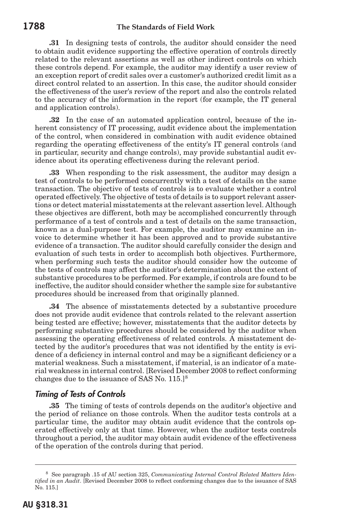**.31** In designing tests of controls, the auditor should consider the need to obtain audit evidence supporting the effective operation of controls directly related to the relevant assertions as well as other indirect controls on which these controls depend. For example, the auditor may identify a user review of an exception report of credit sales over a customer's authorized credit limit as a direct control related to an assertion. In this case, the auditor should consider the effectiveness of the user's review of the report and also the controls related to the accuracy of the information in the report (for example, the IT general and application controls).

**.32** In the case of an automated application control, because of the inherent consistency of IT processing, audit evidence about the implementation of the control, when considered in combination with audit evidence obtained regarding the operating effectiveness of the entity's IT general controls (and in particular, security and change controls), may provide substantial audit evidence about its operating effectiveness during the relevant period.

**.33** When responding to the risk assessment, the auditor may design a test of controls to be performed concurrently with a test of details on the same transaction. The objective of tests of controls is to evaluate whether a control operated effectively. The objective of tests of details is to support relevant assertions or detect material misstatements at the relevant assertion level. Although these objectives are different, both may be accomplished concurrently through performance of a test of controls and a test of details on the same transaction, known as a dual-purpose test. For example, the auditor may examine an invoice to determine whether it has been approved and to provide substantive evidence of a transaction. The auditor should carefully consider the design and evaluation of such tests in order to accomplish both objectives. Furthermore, when performing such tests the auditor should consider how the outcome of the tests of controls may affect the auditor's determination about the extent of substantive procedures to be performed. For example, if controls are found to be ineffective, the auditor should consider whether the sample size for substantive procedures should be increased from that originally planned.

**.34** The absence of misstatements detected by a substantive procedure does not provide audit evidence that controls related to the relevant assertion being tested are effective; however, misstatements that the auditor detects by performing substantive procedures should be considered by the auditor when assessing the operating effectiveness of related controls. A misstatement detected by the auditor's procedures that was not identified by the entity is evidence of a deficiency in internal control and may be a significant deficiency or a material weakness. Such a misstatement, if material, is an indicator of a material weakness in internal control. [Revised December 2008 to reflect conforming changes due to the issuance of SAS No. 115.]<sup>8</sup>

#### *Timing of Tests of Controls*

**.35** The timing of tests of controls depends on the auditor's objective and the period of reliance on those controls. When the auditor tests controls at a particular time, the auditor may obtain audit evidence that the controls operated effectively only at that time. However, when the auditor tests controls throughout a period, the auditor may obtain audit evidence of the effectiveness of the operation of the controls during that period.

<sup>8</sup> See paragraph .15 of AU section 325, *Communicating Internal Control Related Matters Identified in an Audit*. [Revised December 2008 to reflect conforming changes due to the issuance of SAS No. 115.]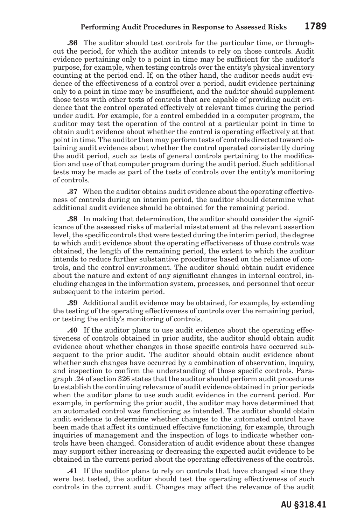#### **Performing Audit Procedures in Response to Assessed Risks 1789**

**.36** The auditor should test controls for the particular time, or throughout the period, for which the auditor intends to rely on those controls. Audit evidence pertaining only to a point in time may be sufficient for the auditor's purpose, for example, when testing controls over the entity's physical inventory counting at the period end. If, on the other hand, the auditor needs audit evidence of the effectiveness of a control over a period, audit evidence pertaining only to a point in time may be insufficient, and the auditor should supplement those tests with other tests of controls that are capable of providing audit evidence that the control operated effectively at relevant times during the period under audit. For example, for a control embedded in a computer program, the auditor may test the operation of the control at a particular point in time to obtain audit evidence about whether the control is operating effectively at that point in time. The auditor then may perform tests of controls directed toward obtaining audit evidence about whether the control operated consistently during the audit period, such as tests of general controls pertaining to the modification and use of that computer program during the audit period. Such additional tests may be made as part of the tests of controls over the entity's monitoring of controls.

**.37** When the auditor obtains audit evidence about the operating effectiveness of controls during an interim period, the auditor should determine what additional audit evidence should be obtained for the remaining period.

**.38** In making that determination, the auditor should consider the significance of the assessed risks of material misstatement at the relevant assertion level, the specific controls that were tested during the interim period, the degree to which audit evidence about the operating effectiveness of those controls was obtained, the length of the remaining period, the extent to which the auditor intends to reduce further substantive procedures based on the reliance of controls, and the control environment. The auditor should obtain audit evidence about the nature and extent of any significant changes in internal control, including changes in the information system, processes, and personnel that occur subsequent to the interim period.

**.39** Additional audit evidence may be obtained, for example, by extending the testing of the operating effectiveness of controls over the remaining period, or testing the entity's monitoring of controls.

**.40** If the auditor plans to use audit evidence about the operating effectiveness of controls obtained in prior audits, the auditor should obtain audit evidence about whether changes in those specific controls have occurred subsequent to the prior audit. The auditor should obtain audit evidence about whether such changes have occurred by a combination of observation, inquiry, and inspection to confirm the understanding of those specific controls. Paragraph .24 of section 326 states that the auditor should perform audit procedures to establish the continuing relevance of audit evidence obtained in prior periods when the auditor plans to use such audit evidence in the current period. For example, in performing the prior audit, the auditor may have determined that an automated control was functioning as intended. The auditor should obtain audit evidence to determine whether changes to the automated control have been made that affect its continued effective functioning, for example, through inquiries of management and the inspection of logs to indicate whether controls have been changed. Consideration of audit evidence about these changes may support either increasing or decreasing the expected audit evidence to be obtained in the current period about the operating effectiveness of the controls.

**.41** If the auditor plans to rely on controls that have changed since they were last tested, the auditor should test the operating effectiveness of such controls in the current audit. Changes may affect the relevance of the audit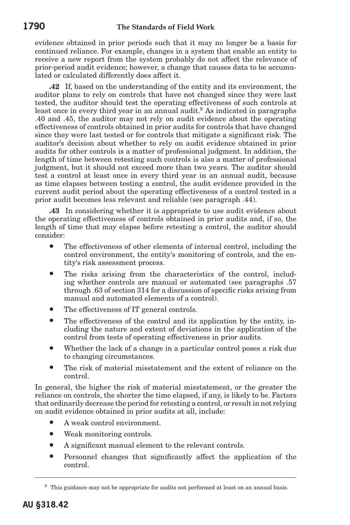evidence obtained in prior periods such that it may no longer be a basis for continued reliance. For example, changes in a system that enable an entity to receive a new report from the system probably do not affect the relevance of prior-period audit evidence; however, a change that causes data to be accumulated or calculated differently does affect it.

**.42** If, based on the understanding of the entity and its environment, the auditor plans to rely on controls that have not changed since they were last tested, the auditor should test the operating effectiveness of such controls at least once in every third year in an annual audit.<sup>9</sup> As indicated in paragraphs .40 and .45, the auditor may not rely on audit evidence about the operating effectiveness of controls obtained in prior audits for controls that have changed since they were last tested or for controls that mitigate a significant risk. The auditor's decision about whether to rely on audit evidence obtained in prior audits for other controls is a matter of professional judgment. In addition, the length of time between retesting such controls is also a matter of professional judgment, but it should not exceed more than two years. The auditor should test a control at least once in every third year in an annual audit, because as time elapses between testing a control, the audit evidence provided in the current audit period about the operating effectiveness of a control tested in a prior audit becomes less relevant and reliable (see paragraph .44).

**.43** In considering whether it is appropriate to use audit evidence about the operating effectiveness of controls obtained in prior audits and, if so, the length of time that may elapse before retesting a control, the auditor should consider:

- The effectiveness of other elements of internal control, including the control environment, the entity's monitoring of controls, and the entity's risk assessment process.
- The risks arising from the characteristics of the control, including whether controls are manual or automated (see paragraphs .57 through .63 of section 314 for a discussion of specific risks arising from manual and automated elements of a control).
- The effectiveness of IT general controls.
- The effectiveness of the control and its application by the entity, including the nature and extent of deviations in the application of the control from tests of operating effectiveness in prior audits.
- Whether the lack of a change in a particular control poses a risk due to changing circumstances.
- The risk of material misstatement and the extent of reliance on the control.

In general, the higher the risk of material misstatement, or the greater the reliance on controls, the shorter the time elapsed, if any, is likely to be. Factors that ordinarily decrease the period for retesting a control, or result in not relying on audit evidence obtained in prior audits at all, include:

- A weak control environment.
- Weak monitoring controls.
- A significant manual element to the relevant controls.
- Personnel changes that significantly affect the application of the control.

<sup>&</sup>lt;sup>9</sup> This guidance may not be appropriate for audits not performed at least on an annual basis.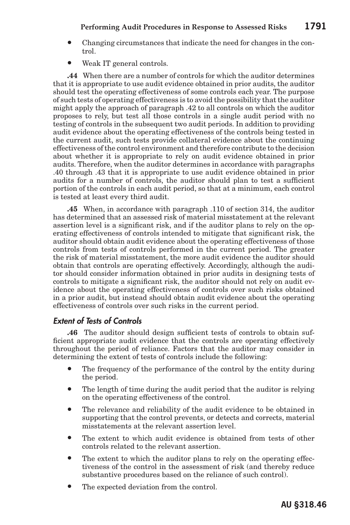- Changing circumstances that indicate the need for changes in the control.
- Weak IT general controls.

**.44** When there are a number of controls for which the auditor determines that it is appropriate to use audit evidence obtained in prior audits, the auditor should test the operating effectiveness of some controls each year. The purpose of such tests of operating effectiveness is to avoid the possibility that the auditor might apply the approach of paragraph .42 to all controls on which the auditor proposes to rely, but test all those controls in a single audit period with no testing of controls in the subsequent two audit periods. In addition to providing audit evidence about the operating effectiveness of the controls being tested in the current audit, such tests provide collateral evidence about the continuing effectiveness of the control environment and therefore contribute to the decision about whether it is appropriate to rely on audit evidence obtained in prior audits. Therefore, when the auditor determines in accordance with paragraphs .40 through .43 that it is appropriate to use audit evidence obtained in prior audits for a number of controls, the auditor should plan to test a sufficient portion of the controls in each audit period, so that at a minimum, each control is tested at least every third audit.

**.45** When, in accordance with paragraph .110 of section 314, the auditor has determined that an assessed risk of material misstatement at the relevant assertion level is a significant risk, and if the auditor plans to rely on the operating effectiveness of controls intended to mitigate that significant risk, the auditor should obtain audit evidence about the operating effectiveness of those controls from tests of controls performed in the current period. The greater the risk of material misstatement, the more audit evidence the auditor should obtain that controls are operating effectively. Accordingly, although the auditor should consider information obtained in prior audits in designing tests of controls to mitigate a significant risk, the auditor should not rely on audit evidence about the operating effectiveness of controls over such risks obtained in a prior audit, but instead should obtain audit evidence about the operating effectiveness of controls over such risks in the current period.

### *Extent of Tests of Controls*

**.46** The auditor should design sufficient tests of controls to obtain sufficient appropriate audit evidence that the controls are operating effectively throughout the period of reliance. Factors that the auditor may consider in determining the extent of tests of controls include the following:

- The frequency of the performance of the control by the entity during the period.
- The length of time during the audit period that the auditor is relying on the operating effectiveness of the control.
- The relevance and reliability of the audit evidence to be obtained in supporting that the control prevents, or detects and corrects, material misstatements at the relevant assertion level.
- The extent to which audit evidence is obtained from tests of other controls related to the relevant assertion.
- The extent to which the auditor plans to rely on the operating effectiveness of the control in the assessment of risk (and thereby reduce substantive procedures based on the reliance of such control).
- The expected deviation from the control.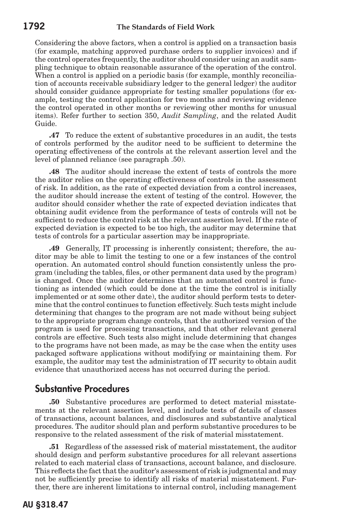Considering the above factors, when a control is applied on a transaction basis (for example, matching approved purchase orders to supplier invoices) and if the control operates frequently, the auditor should consider using an audit sampling technique to obtain reasonable assurance of the operation of the control. When a control is applied on a periodic basis (for example, monthly reconciliation of accounts receivable subsidiary ledger to the general ledger) the auditor should consider guidance appropriate for testing smaller populations (for example, testing the control application for two months and reviewing evidence the control operated in other months or reviewing other months for unusual items). Refer further to section 350, *Audit Sampling*, and the related Audit Guide.

**.47** To reduce the extent of substantive procedures in an audit, the tests of controls performed by the auditor need to be sufficient to determine the operating effectiveness of the controls at the relevant assertion level and the level of planned reliance (see paragraph .50).

**.48** The auditor should increase the extent of tests of controls the more the auditor relies on the operating effectiveness of controls in the assessment of risk. In addition, as the rate of expected deviation from a control increases, the auditor should increase the extent of testing of the control. However, the auditor should consider whether the rate of expected deviation indicates that obtaining audit evidence from the performance of tests of controls will not be sufficient to reduce the control risk at the relevant assertion level. If the rate of expected deviation is expected to be too high, the auditor may determine that tests of controls for a particular assertion may be inappropriate.

**.49** Generally, IT processing is inherently consistent; therefore, the auditor may be able to limit the testing to one or a few instances of the control operation. An automated control should function consistently unless the program (including the tables, files, or other permanent data used by the program) is changed. Once the auditor determines that an automated control is functioning as intended (which could be done at the time the control is initially implemented or at some other date), the auditor should perform tests to determine that the control continues to function effectively. Such tests might include determining that changes to the program are not made without being subject to the appropriate program change controls, that the authorized version of the program is used for processing transactions, and that other relevant general controls are effective. Such tests also might include determining that changes to the programs have not been made, as may be the case when the entity uses packaged software applications without modifying or maintaining them. For example, the auditor may test the administration of IT security to obtain audit evidence that unauthorized access has not occurred during the period.

### Substantive Procedures

**.50** Substantive procedures are performed to detect material misstatements at the relevant assertion level, and include tests of details of classes of transactions, account balances, and disclosures and substantive analytical procedures. The auditor should plan and perform substantive procedures to be responsive to the related assessment of the risk of material misstatement.

**.51** Regardless of the assessed risk of material misstatement, the auditor should design and perform substantive procedures for all relevant assertions related to each material class of transactions, account balance, and disclosure. This reflects the fact that the auditor's assessment of risk is judgmental and may not be sufficiently precise to identify all risks of material misstatement. Further, there are inherent limitations to internal control, including management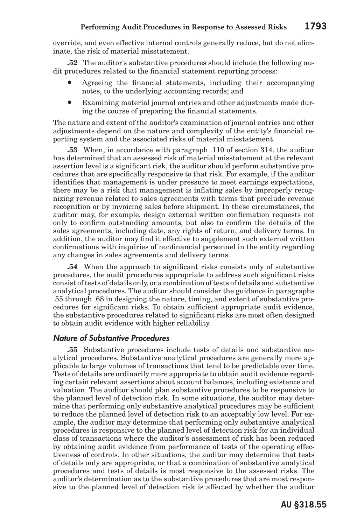override, and even effective internal controls generally reduce, but do not eliminate, the risk of material misstatement.

**.52** The auditor's substantive procedures should include the following audit procedures related to the financial statement reporting process:

- Agreeing the financial statements, including their accompanying notes, to the underlying accounting records; and
- Examining material journal entries and other adjustments made during the course of preparing the financial statements.

The nature and extent of the auditor's examination of journal entries and other adjustments depend on the nature and complexity of the entity's financial reporting system and the associated risks of material misstatement.

**.53** When, in accordance with paragraph .110 of section 314, the auditor has determined that an assessed risk of material misstatement at the relevant assertion level is a significant risk, the auditor should perform substantive procedures that are specifically responsive to that risk. For example, if the auditor identifies that management is under pressure to meet earnings expectations, there may be a risk that management is inflating sales by improperly recognizing revenue related to sales agreements with terms that preclude revenue recognition or by invoicing sales before shipment. In these circumstances, the auditor may, for example, design external written confirmation requests not only to confirm outstanding amounts, but also to confirm the details of the sales agreements, including date, any rights of return, and delivery terms. In addition, the auditor may find it effective to supplement such external written confirmations with inquiries of nonfinancial personnel in the entity regarding any changes in sales agreements and delivery terms.

**.54** When the approach to significant risks consists only of substantive procedures, the audit procedures appropriate to address such significant risks consist of tests of details only, or a combination of tests of details and substantive analytical procedures. The auditor should consider the guidance in paragraphs .55 through .68 in designing the nature, timing, and extent of substantive procedures for significant risks. To obtain sufficient appropriate audit evidence, the substantive procedures related to significant risks are most often designed to obtain audit evidence with higher reliability.

#### *Nature of Substantive Procedures*

**.55** Substantive procedures include tests of details and substantive analytical procedures. Substantive analytical procedures are generally more applicable to large volumes of transactions that tend to be predictable over time. Tests of details are ordinarily more appropriate to obtain audit evidence regarding certain relevant assertions about account balances, including existence and valuation. The auditor should plan substantive procedures to be responsive to the planned level of detection risk. In some situations, the auditor may determine that performing only substantive analytical procedures may be sufficient to reduce the planned level of detection risk to an acceptably low level. For example, the auditor may determine that performing only substantive analytical procedures is responsive to the planned level of detection risk for an individual class of transactions where the auditor's assessment of risk has been reduced by obtaining audit evidence from performance of tests of the operating effectiveness of controls. In other situations, the auditor may determine that tests of details only are appropriate, or that a combination of substantive analytical procedures and tests of details is most responsive to the assessed risks. The auditor's determination as to the substantive procedures that are most responsive to the planned level of detection risk is affected by whether the auditor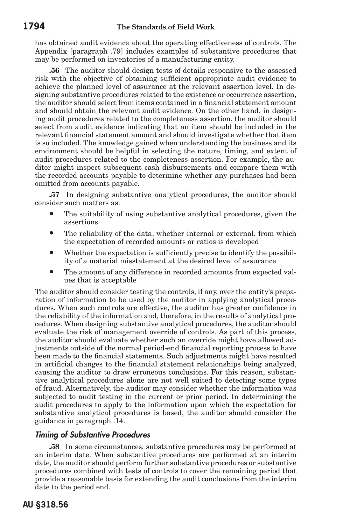has obtained audit evidence about the operating effectiveness of controls. The Appendix [paragraph .79] includes examples of substantive procedures that may be performed on inventories of a manufacturing entity.

**.56** The auditor should design tests of details responsive to the assessed risk with the objective of obtaining sufficient appropriate audit evidence to achieve the planned level of assurance at the relevant assertion level. In designing substantive procedures related to the existence or occurrence assertion, the auditor should select from items contained in a financial statement amount and should obtain the relevant audit evidence. On the other hand, in designing audit procedures related to the completeness assertion, the auditor should select from audit evidence indicating that an item should be included in the relevant financial statement amount and should investigate whether that item is so included. The knowledge gained when understanding the business and its environment should be helpful in selecting the nature, timing, and extent of audit procedures related to the completeness assertion. For example, the auditor might inspect subsequent cash disbursements and compare them with the recorded accounts payable to determine whether any purchases had been omitted from accounts payable.

**.57** In designing substantive analytical procedures, the auditor should consider such matters as:

- The suitability of using substantive analytical procedures, given the assertions
- The reliability of the data, whether internal or external, from which the expectation of recorded amounts or ratios is developed
- Whether the expectation is sufficiently precise to identify the possibility of a material misstatement at the desired level of assurance
- The amount of any difference in recorded amounts from expected values that is acceptable

The auditor should consider testing the controls, if any, over the entity's preparation of information to be used by the auditor in applying analytical procedures. When such controls are effective, the auditor has greater confidence in the reliability of the information and, therefore, in the results of analytical procedures. When designing substantive analytical procedures, the auditor should evaluate the risk of management override of controls. As part of this process, the auditor should evaluate whether such an override might have allowed adjustments outside of the normal period-end financial reporting process to have been made to the financial statements. Such adjustments might have resulted in artificial changes to the financial statement relationships being analyzed, causing the auditor to draw erroneous conclusions. For this reason, substantive analytical procedures alone are not well suited to detecting some types of fraud. Alternatively, the auditor may consider whether the information was subjected to audit testing in the current or prior period. In determining the audit procedures to apply to the information upon which the expectation for substantive analytical procedures is based, the auditor should consider the guidance in paragraph .14.

#### *Timing of Substantive Procedures*

**.58** In some circumstances, substantive procedures may be performed at an interim date. When substantive procedures are performed at an interim date, the auditor should perform further substantive procedures or substantive procedures combined with tests of controls to cover the remaining period that provide a reasonable basis for extending the audit conclusions from the interim date to the period end.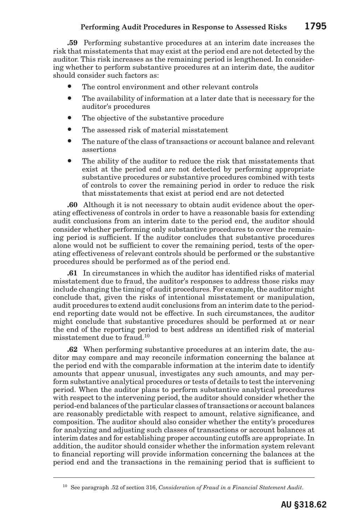**.59** Performing substantive procedures at an interim date increases the risk that misstatements that may exist at the period end are not detected by the auditor. This risk increases as the remaining period is lengthened. In considering whether to perform substantive procedures at an interim date, the auditor should consider such factors as:

- The control environment and other relevant controls
- The availability of information at a later date that is necessary for the auditor's procedures
- The objective of the substantive procedure
- The assessed risk of material misstatement
- The nature of the class of transactions or account balance and relevant assertions
- The ability of the auditor to reduce the risk that misstatements that exist at the period end are not detected by performing appropriate substantive procedures or substantive procedures combined with tests of controls to cover the remaining period in order to reduce the risk that misstatements that exist at period end are not detected

**.60** Although it is not necessary to obtain audit evidence about the operating effectiveness of controls in order to have a reasonable basis for extending audit conclusions from an interim date to the period end, the auditor should consider whether performing only substantive procedures to cover the remaining period is sufficient. If the auditor concludes that substantive procedures alone would not be sufficient to cover the remaining period, tests of the operating effectiveness of relevant controls should be performed or the substantive procedures should be performed as of the period end.

**.61** In circumstances in which the auditor has identified risks of material misstatement due to fraud, the auditor's responses to address those risks may include changing the timing of audit procedures. For example, the auditor might conclude that, given the risks of intentional misstatement or manipulation, audit procedures to extend audit conclusions from an interim date to the periodend reporting date would not be effective. In such circumstances, the auditor might conclude that substantive procedures should be performed at or near the end of the reporting period to best address an identified risk of material misstatement due to fraud.10

**.62** When performing substantive procedures at an interim date, the auditor may compare and may reconcile information concerning the balance at the period end with the comparable information at the interim date to identify amounts that appear unusual, investigates any such amounts, and may perform substantive analytical procedures or tests of details to test the intervening period. When the auditor plans to perform substantive analytical procedures with respect to the intervening period, the auditor should consider whether the period-end balances of the particular classes of transactions or account balances are reasonably predictable with respect to amount, relative significance, and composition. The auditor should also consider whether the entity's procedures for analyzing and adjusting such classes of transactions or account balances at interim dates and for establishing proper accounting cutoffs are appropriate. In addition, the auditor should consider whether the information system relevant to financial reporting will provide information concerning the balances at the period end and the transactions in the remaining period that is sufficient to

<sup>10</sup> See paragraph .52 of section 316, *Consideration of Fraud in a Financial Statement Audit*.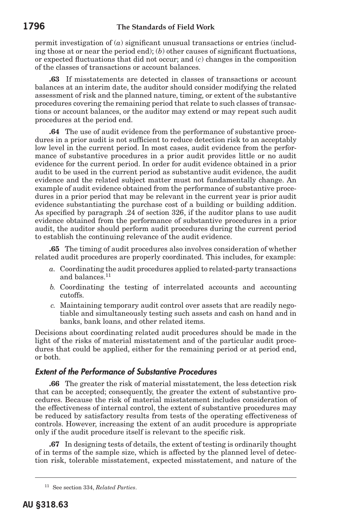permit investigation of (*a*) significant unusual transactions or entries (including those at or near the period end); (*b*) other causes of significant fluctuations, or expected fluctuations that did not occur; and (*c*) changes in the composition of the classes of transactions or account balances.

**.63** If misstatements are detected in classes of transactions or account balances at an interim date, the auditor should consider modifying the related assessment of risk and the planned nature, timing, or extent of the substantive procedures covering the remaining period that relate to such classes of transactions or account balances, or the auditor may extend or may repeat such audit procedures at the period end.

**.64** The use of audit evidence from the performance of substantive procedures in a prior audit is not sufficient to reduce detection risk to an acceptably low level in the current period. In most cases, audit evidence from the performance of substantive procedures in a prior audit provides little or no audit evidence for the current period. In order for audit evidence obtained in a prior audit to be used in the current period as substantive audit evidence, the audit evidence and the related subject matter must not fundamentally change. An example of audit evidence obtained from the performance of substantive procedures in a prior period that may be relevant in the current year is prior audit evidence substantiating the purchase cost of a building or building addition. As specified by paragraph .24 of section 326, if the auditor plans to use audit evidence obtained from the performance of substantive procedures in a prior audit, the auditor should perform audit procedures during the current period to establish the continuing relevance of the audit evidence.

**.65** The timing of audit procedures also involves consideration of whether related audit procedures are properly coordinated. This includes, for example:

- *a.* Coordinating the audit procedures applied to related-party transactions and balances.<sup>11</sup>
- *b.* Coordinating the testing of interrelated accounts and accounting cutoffs.
- *c.* Maintaining temporary audit control over assets that are readily negotiable and simultaneously testing such assets and cash on hand and in banks, bank loans, and other related items.

Decisions about coordinating related audit procedures should be made in the light of the risks of material misstatement and of the particular audit procedures that could be applied, either for the remaining period or at period end, or both.

#### *Extent of the Performance of Substantive Procedures*

**.66** The greater the risk of material misstatement, the less detection risk that can be accepted; consequently, the greater the extent of substantive procedures. Because the risk of material misstatement includes consideration of the effectiveness of internal control, the extent of substantive procedures may be reduced by satisfactory results from tests of the operating effectiveness of controls. However, increasing the extent of an audit procedure is appropriate only if the audit procedure itself is relevant to the specific risk.

**.67** In designing tests of details, the extent of testing is ordinarily thought of in terms of the sample size, which is affected by the planned level of detection risk, tolerable misstatement, expected misstatement, and nature of the

<sup>11</sup> See section 334, *Related Parties*.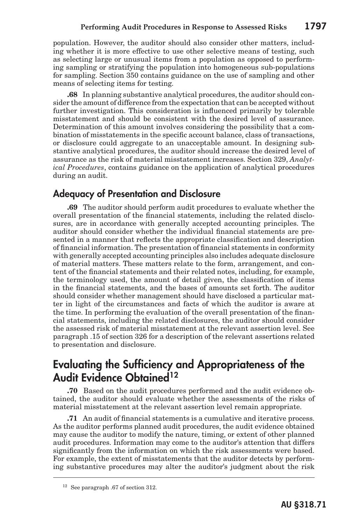population. However, the auditor should also consider other matters, including whether it is more effective to use other selective means of testing, such as selecting large or unusual items from a population as opposed to performing sampling or stratifying the population into homogeneous sub-populations for sampling. Section 350 contains guidance on the use of sampling and other means of selecting items for testing.

**.68** In planning substantive analytical procedures, the auditor should consider the amount of difference from the expectation that can be accepted without further investigation. This consideration is influenced primarily by tolerable misstatement and should be consistent with the desired level of assurance. Determination of this amount involves considering the possibility that a combination of misstatements in the specific account balance, class of transactions, or disclosure could aggregate to an unacceptable amount. In designing substantive analytical procedures, the auditor should increase the desired level of assurance as the risk of material misstatement increases. Section 329, *Analytical Procedures*, contains guidance on the application of analytical procedures during an audit.

### Adequacy of Presentation and Disclosure

**.69** The auditor should perform audit procedures to evaluate whether the overall presentation of the financial statements, including the related disclosures, are in accordance with generally accepted accounting principles. The auditor should consider whether the individual financial statements are presented in a manner that reflects the appropriate classification and description of financial information. The presentation of financial statements in conformity with generally accepted accounting principles also includes adequate disclosure of material matters. These matters relate to the form, arrangement, and content of the financial statements and their related notes, including, for example, the terminology used, the amount of detail given, the classification of items in the financial statements, and the bases of amounts set forth. The auditor should consider whether management should have disclosed a particular matter in light of the circumstances and facts of which the auditor is aware at the time. In performing the evaluation of the overall presentation of the financial statements, including the related disclosures, the auditor should consider the assessed risk of material misstatement at the relevant assertion level. See paragraph .15 of section 326 for a description of the relevant assertions related to presentation and disclosure.

# Evaluating the Sufficiency and Appropriateness of the Audit Evidence Obtained<sup>12</sup>

**.70** Based on the audit procedures performed and the audit evidence obtained, the auditor should evaluate whether the assessments of the risks of material misstatement at the relevant assertion level remain appropriate.

**.71** An audit of financial statements is a cumulative and iterative process. As the auditor performs planned audit procedures, the audit evidence obtained may cause the auditor to modify the nature, timing, or extent of other planned audit procedures. Information may come to the auditor's attention that differs significantly from the information on which the risk assessments were based. For example, the extent of misstatements that the auditor detects by performing substantive procedures may alter the auditor's judgment about the risk

<sup>12</sup> See paragraph .67 of section 312.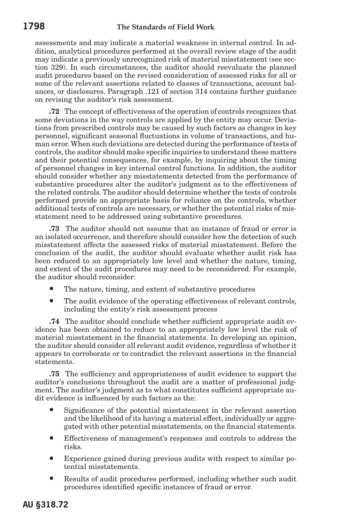assessments and may indicate a material weakness in internal control. In addition, analytical procedures performed at the overall review stage of the audit may indicate a previously unrecognized risk of material misstatement (see section 329). In such circumstances, the auditor should reevaluate the planned audit procedures based on the revised consideration of assessed risks for all or some of the relevant assertions related to classes of transactions, account balances, or disclosures. Paragraph .121 of section 314 contains further guidance on revising the auditor's risk assessment.

**.72** The concept of effectiveness of the operation of controls recognizes that some deviations in the way controls are applied by the entity may occur. Deviations from prescribed controls may be caused by such factors as changes in key personnel, significant seasonal fluctuations in volume of transactions, and human error. When such deviations are detected during the performance of tests of controls, the auditor should make specific inquiries to understand these matters and their potential consequences, for example, by inquiring about the timing of personnel changes in key internal control functions. In addition, the auditor should consider whether any misstatements detected from the performance of substantive procedures alter the auditor's judgment as to the effectiveness of the related controls. The auditor should determine whether the tests of controls performed provide an appropriate basis for reliance on the controls, whether additional tests of controls are necessary, or whether the potential risks of misstatement need to be addressed using substantive procedures.

**.73** The auditor should not assume that an instance of fraud or error is an isolated occurrence, and therefore should consider how the detection of such misstatement affects the assessed risks of material misstatement. Before the conclusion of the audit, the auditor should evaluate whether audit risk has been reduced to an appropriately low level and whether the nature, timing, and extent of the audit procedures may need to be reconsidered. For example, the auditor should reconsider:

- The nature, timing, and extent of substantive procedures
- The audit evidence of the operating effectiveness of relevant controls, including the entity's risk assessment process

**.74** The auditor should conclude whether sufficient appropriate audit evidence has been obtained to reduce to an appropriately low level the risk of material misstatement in the financial statements. In developing an opinion, the auditor should consider all relevant audit evidence, regardless of whether it appears to corroborate or to contradict the relevant assertions in the financial statements.

**.75** The sufficiency and appropriateness of audit evidence to support the auditor's conclusions throughout the audit are a matter of professional judgment. The auditor's judgment as to what constitutes sufficient appropriate audit evidence is influenced by such factors as the:

- Significance of the potential misstatement in the relevant assertion and the likelihood of its having a material effect, individually or aggregated with other potential misstatements, on the financial statements.
- Effectiveness of management's responses and controls to address the risks.
- Experience gained during previous audits with respect to similar potential misstatements.
- Results of audit procedures performed, including whether such audit procedures identified specific instances of fraud or error.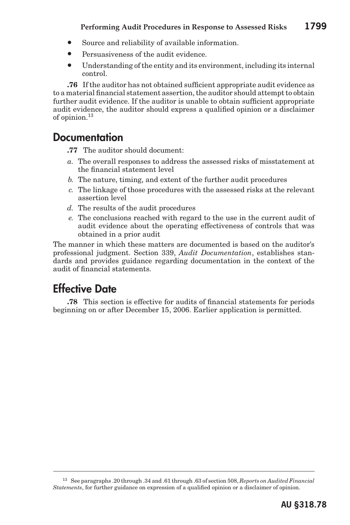- Source and reliability of available information.
- Persuasiveness of the audit evidence.
- Understanding of the entity and its environment, including its internal control.

**.76** If the auditor has not obtained sufficient appropriate audit evidence as to a material financial statement assertion, the auditor should attempt to obtain further audit evidence. If the auditor is unable to obtain sufficient appropriate audit evidence, the auditor should express a qualified opinion or a disclaimer of opinion.13

## **Documentation**

- **.77** The auditor should document:
- *a.* The overall responses to address the assessed risks of misstatement at the financial statement level
- *b.* The nature, timing, and extent of the further audit procedures
- *c.* The linkage of those procedures with the assessed risks at the relevant assertion level
- *d.* The results of the audit procedures
- *e.* The conclusions reached with regard to the use in the current audit of audit evidence about the operating effectiveness of controls that was obtained in a prior audit

The manner in which these matters are documented is based on the auditor's professional judgment. Section 339, *Audit Documentation*, establishes standards and provides guidance regarding documentation in the context of the audit of financial statements.

# Effective Date

**.78** This section is effective for audits of financial statements for periods beginning on or after December 15, 2006. Earlier application is permitted.

<sup>13</sup> See paragraphs .20 through .34 and .61 through .63 of section 508, *Reports on Audited Financial Statements*, for further guidance on expression of a qualified opinion or a disclaimer of opinion.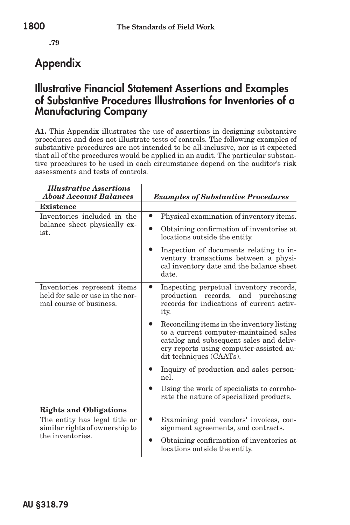**.79**

# Appendix

### Illustrative Financial Statement Assertions and Examples of Substantive Procedures Illustrations for Inventories of a Manufacturing Company

**A1.** This Appendix illustrates the use of assertions in designing substantive procedures and does not illustrate tests of controls. The following examples of substantive procedures are not intended to be all-inclusive, nor is it expected that all of the procedures would be applied in an audit. The particular substantive procedures to be used in each circumstance depend on the auditor's risk assessments and tests of controls.

| <b>Illustrative Assertions</b><br><b>About Account Balances</b>                            | <b>Examples of Substantive Procedures</b>                                                                                                                                                             |
|--------------------------------------------------------------------------------------------|-------------------------------------------------------------------------------------------------------------------------------------------------------------------------------------------------------|
| <b>Existence</b>                                                                           |                                                                                                                                                                                                       |
| Inventories included in the<br>balance sheet physically ex-<br>ist.                        | Physical examination of inventory items.                                                                                                                                                              |
|                                                                                            | Obtaining confirmation of inventories at<br>locations outside the entity.                                                                                                                             |
|                                                                                            | Inspection of documents relating to in-<br>ventory transactions between a physi-<br>cal inventory date and the balance sheet<br>date.                                                                 |
| Inventories represent items<br>held for sale or use in the nor-<br>mal course of business. | Inspecting perpetual inventory records,<br>production records, and purchasing<br>records for indications of current activ-<br>ity.                                                                    |
|                                                                                            | Reconciling items in the inventory listing<br>to a current computer-maintained sales<br>catalog and subsequent sales and deliv-<br>ery reports using computer-assisted au-<br>dit techniques (CAATs). |
|                                                                                            | Inquiry of production and sales person-<br>nel.                                                                                                                                                       |
|                                                                                            | Using the work of specialists to corrobo-<br>rate the nature of specialized products.                                                                                                                 |
| <b>Rights and Obligations</b>                                                              |                                                                                                                                                                                                       |
| The entity has legal title or<br>similar rights of ownership to<br>the inventories.        | Examining paid vendors' invoices, con-<br>signment agreements, and contracts.                                                                                                                         |
|                                                                                            | Obtaining confirmation of inventories at<br>locations outside the entity.                                                                                                                             |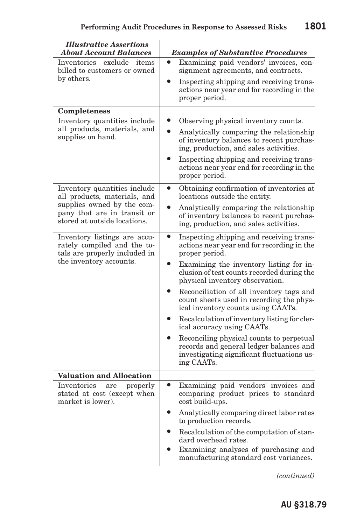l.

| <b>Illustrative Assertions</b><br><b>About Account Balances</b>                                                                                           | <b>Examples of Substantive Procedures</b>                                                                                                                                                                         |
|-----------------------------------------------------------------------------------------------------------------------------------------------------------|-------------------------------------------------------------------------------------------------------------------------------------------------------------------------------------------------------------------|
| exclude<br>Inventories<br>items<br>billed to customers or owned<br>by others.                                                                             | Examining paid vendors' invoices, con-<br>signment agreements, and contracts.<br>Inspecting shipping and receiving trans-<br>actions near year end for recording in the<br>proper period.                         |
| Completeness                                                                                                                                              |                                                                                                                                                                                                                   |
| Inventory quantities include<br>all products, materials, and<br>supplies on hand.                                                                         | Observing physical inventory counts.<br>Analytically comparing the relationship<br>of inventory balances to recent purchas-<br>ing, production, and sales activities.<br>Inspecting shipping and receiving trans- |
|                                                                                                                                                           | actions near year end for recording in the<br>proper period.                                                                                                                                                      |
| Inventory quantities include<br>all products, materials, and<br>supplies owned by the com-<br>pany that are in transit or<br>stored at outside locations. | Obtaining confirmation of inventories at<br>locations outside the entity.                                                                                                                                         |
|                                                                                                                                                           | Analytically comparing the relationship<br>of inventory balances to recent purchas-<br>ing, production, and sales activities.                                                                                     |
| Inventory listings are accu-<br>rately compiled and the to-<br>tals are properly included in<br>the inventory accounts.                                   | Inspecting shipping and receiving trans-<br>actions near year end for recording in the<br>proper period.                                                                                                          |
|                                                                                                                                                           | Examining the inventory listing for in-<br>$\bullet$<br>clusion of test counts recorded during the<br>physical inventory observation.                                                                             |
|                                                                                                                                                           | Reconciliation of all inventory tags and<br>count sheets used in recording the phys-<br>ical inventory counts using CAATs.                                                                                        |
|                                                                                                                                                           | Recalculation of inventory listing for cler-<br>ical accuracy using CAATs.                                                                                                                                        |
|                                                                                                                                                           | Reconciling physical counts to perpetual<br>records and general ledger balances and<br>investigating significant fluctuations us-<br>ing CAATs.                                                                   |
| <b>Valuation and Allocation</b>                                                                                                                           |                                                                                                                                                                                                                   |
| Inventories<br>properly<br>are<br>stated at cost (except when<br>market is lower).                                                                        | Examining paid vendors' invoices and<br>comparing product prices to standard<br>cost build-ups.                                                                                                                   |
|                                                                                                                                                           | Analytically comparing direct labor rates<br>to production records.                                                                                                                                               |
|                                                                                                                                                           | Recalculation of the computation of stan-<br>dard overhead rates.                                                                                                                                                 |
|                                                                                                                                                           | Examining analyses of purchasing and<br>manufacturing standard cost variances.                                                                                                                                    |

*(continued)*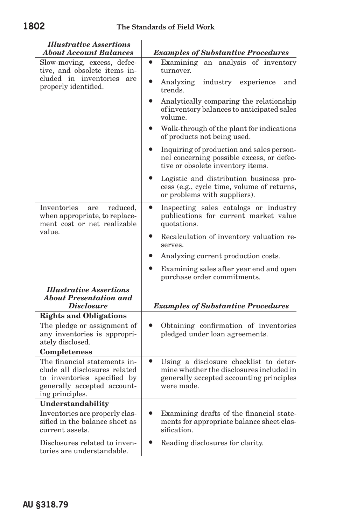| <b>Illustrative Assertions</b><br><b>About Account Balances</b>                                                                                | <b>Examples of Substantive Procedures</b>                                                                                                    |
|------------------------------------------------------------------------------------------------------------------------------------------------|----------------------------------------------------------------------------------------------------------------------------------------------|
| Slow-moving, excess, defec-<br>tive, and obsolete items in-<br>cluded in inventories<br>are<br>properly identified.                            | Examining an analysis of inventory<br>turnover.                                                                                              |
|                                                                                                                                                | Analyzing<br>industry<br>experience<br>and<br>trends.                                                                                        |
|                                                                                                                                                | Analytically comparing the relationship<br>of inventory balances to anticipated sales<br>volume.                                             |
|                                                                                                                                                | Walk-through of the plant for indications<br>of products not being used.                                                                     |
|                                                                                                                                                | Inquiring of production and sales person-<br>nel concerning possible excess, or defec-<br>tive or obsolete inventory items.                  |
|                                                                                                                                                | Logistic and distribution business pro-<br>cess (e.g., cycle time, volume of returns,<br>or problems with suppliers).                        |
| Inventories<br>reduced,<br>are<br>when appropriate, to replace-<br>ment cost or net realizable<br>value.                                       | Inspecting sales catalogs or industry<br>$\bullet$<br>publications for current market value<br>quotations.                                   |
|                                                                                                                                                | Recalculation of inventory valuation re-<br>serves.                                                                                          |
|                                                                                                                                                | Analyzing current production costs.                                                                                                          |
|                                                                                                                                                | Examining sales after year end and open<br>purchase order commitments.                                                                       |
| <b>Illustrative Assertions</b><br><b>About Presentation and</b><br><i><b>Disclosure</b></i><br><b>Rights and Obligations</b>                   | <b>Examples of Substantive Procedures</b>                                                                                                    |
| The pledge or assignment of<br>any inventories is appropri-<br>ately disclosed.                                                                | Obtaining confirmation of inventories<br>$\bullet$<br>pledged under loan agreements.                                                         |
| Completeness                                                                                                                                   |                                                                                                                                              |
| The financial statements in-<br>clude all disclosures related<br>to inventories specified by<br>generally accepted account-<br>ing principles. | Using a disclosure checklist to deter-<br>mine whether the disclosures included in<br>generally accepted accounting principles<br>were made. |
| Understandability                                                                                                                              |                                                                                                                                              |
| Inventories are properly clas-<br>sified in the balance sheet as<br>current assets.                                                            | Examining drafts of the financial state-<br>$\bullet$<br>ments for appropriate balance sheet clas-<br>sification.                            |
| Disclosures related to inven-<br>tories are understandable.                                                                                    | Reading disclosures for clarity.<br>$\bullet$                                                                                                |